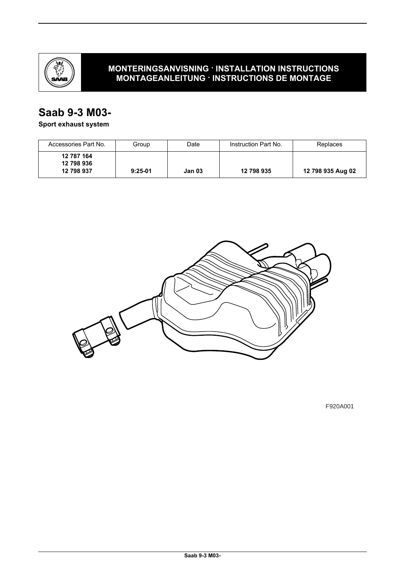

## **MONTERINGSANVISNING · INSTALLATION INSTRUCTIONS MONTAGEANLEITUNG · INSTRUCTIONS DE MONTAGE**

## **Saab 9-3 M03-**

## **Sport exhaust system**

| Accessories Part No.     | Group     | Date   | Instruction Part No. | Replaces          |
|--------------------------|-----------|--------|----------------------|-------------------|
| 12 787 164<br>12 798 936 |           |        |                      |                   |
| 12 798 937               | $9:25-01$ | Jan 03 | 12 798 935           | 12 798 935 Aug 02 |



F920A001